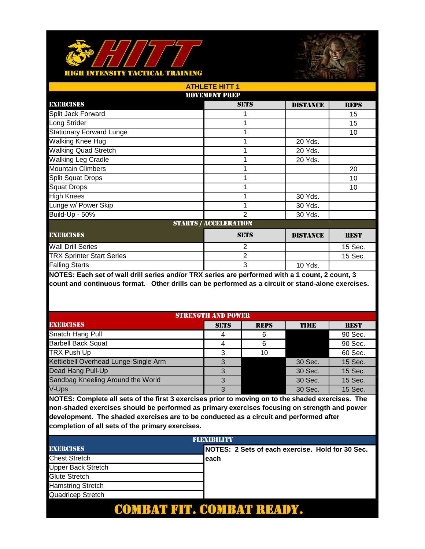



| <b>ATHLETE HITT 1</b>            |                              |                 |             |  |
|----------------------------------|------------------------------|-----------------|-------------|--|
| <b>MOVEMENT PREP</b>             |                              |                 |             |  |
| EXERCISES                        | <b>SETS</b>                  | <b>DISTANCE</b> | <b>REPS</b> |  |
| Split Jack Forward               |                              |                 | 15          |  |
| Long Strider                     |                              |                 | 15          |  |
| <b>Stationary Forward Lunge</b>  |                              |                 | 10          |  |
| Walking Knee Hug                 |                              | 20 Yds.         |             |  |
| <b>Walking Quad Stretch</b>      |                              | 20 Yds.         |             |  |
| <b>Walking Leg Cradle</b>        |                              | 20 Yds.         |             |  |
| <b>Mountain Climbers</b>         |                              |                 | 20          |  |
| <b>Split Squat Drops</b>         |                              |                 | 10          |  |
| <b>Squat Drops</b>               |                              |                 | 10          |  |
| <b>High Knees</b>                |                              | 30 Yds.         |             |  |
| Lunge w/ Power Skip              |                              | 30 Yds.         |             |  |
| Build-Up - 50%                   | $\overline{2}$               | 30 Yds.         |             |  |
|                                  | <b>STARTS / ACCELERATION</b> |                 |             |  |
| <b>EXERCISES</b>                 | <b>SETS</b>                  | <b>DISTANCE</b> | <b>REST</b> |  |
| <b>Wall Drill Series</b>         | 2                            |                 | 15 Sec.     |  |
| <b>TRX Sprinter Start Series</b> | 2                            |                 | 15 Sec.     |  |
| <b>Falling Starts</b>            | 3                            | 10 Yds.         |             |  |

| <b>STRENGTH AND POWER</b>            |             |             |             |             |
|--------------------------------------|-------------|-------------|-------------|-------------|
| <b>EXERCISES</b>                     | <b>SETS</b> | <b>REPS</b> | <b>TIME</b> | <b>REST</b> |
| Snatch Hang Pull                     | 4           | 6           |             | 90 Sec.     |
| <b>Barbell Back Squat</b>            |             | 6           |             | 90 Sec.     |
| <b>TRX Push Up</b>                   | 3           | 10          |             | 60 Sec.     |
| Kettlebell Overhead Lunge-Single Arm |             |             | 30 Sec.     | 15 Sec.     |
| Dead Hang Pull-Up                    |             |             | 30 Sec.     | 15 Sec.     |
| Sandbag Kneeling Around the World    | 3           |             | 30 Sec.     | 15 Sec.     |
| V-Ups                                | 3           |             | 30 Sec.     | 15 Sec.     |

| <b>FLEXIBILITY</b>       |                                                   |  |
|--------------------------|---------------------------------------------------|--|
| <b>EXERCISES</b>         | INOTES: 2 Sets of each exercise. Hold for 30 Sec. |  |
| <b>Chest Stretch</b>     | each                                              |  |
| Upper Back Stretch       |                                                   |  |
| Glute Stretch            |                                                   |  |
| <b>Hamstring Stretch</b> |                                                   |  |
| Quadricep Stretch        |                                                   |  |
|                          |                                                   |  |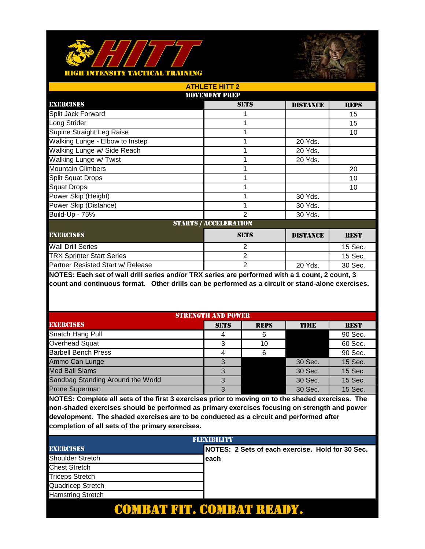



| <b>ATHLETE HITT 2</b>             |                              |                 |             |  |
|-----------------------------------|------------------------------|-----------------|-------------|--|
|                                   | <b>MOVEMENT PREP</b>         |                 |             |  |
| EXERCISES                         | <b>SETS</b>                  | <b>DISTANCE</b> | <b>REPS</b> |  |
| Split Jack Forward                |                              |                 | 15          |  |
| Long Strider                      |                              |                 | 15          |  |
| Supine Straight Leg Raise         |                              |                 | 10          |  |
| Walking Lunge - Elbow to Instep   |                              | 20 Yds.         |             |  |
| Walking Lunge w/ Side Reach       |                              | 20 Yds.         |             |  |
| Walking Lunge w/ Twist            |                              | 20 Yds.         |             |  |
| <b>Mountain Climbers</b>          |                              |                 | 20          |  |
| <b>Split Squat Drops</b>          |                              |                 | 10          |  |
| <b>Squat Drops</b>                |                              |                 | 10          |  |
| Power Skip (Height)               |                              | 30 Yds.         |             |  |
| Power Skip (Distance)             |                              | 30 Yds.         |             |  |
| Build-Up - 75%                    | 2                            | 30 Yds.         |             |  |
|                                   | <b>STARTS / ACCELERATION</b> |                 |             |  |
| <b>EXERCISES</b>                  | <b>SETS</b>                  | <b>DISTANCE</b> | <b>REST</b> |  |
| <b>Wall Drill Series</b>          | 2                            |                 | 15 Sec.     |  |
| <b>TRX Sprinter Start Series</b>  | $\overline{2}$               |                 | 15 Sec.     |  |
| Partner Resisted Start w/ Release | 2                            | 20 Yds.         | 30 Sec.     |  |

| <b>STRENGTH AND POWER</b>         |             |             |             |             |
|-----------------------------------|-------------|-------------|-------------|-------------|
| <b>EXERCISES</b>                  | <b>SETS</b> | <b>REPS</b> | <b>TIME</b> | <b>REST</b> |
| Snatch Hang Pull                  | 4           |             |             | 90 Sec.     |
| Overhead Squat                    | 3           | 10          |             | 60 Sec.     |
| <b>Barbell Bench Press</b>        |             |             |             | 90 Sec.     |
| Ammo Can Lunge                    |             |             | 30 Sec.     | 15 Sec.     |
| <b>Med Ball Slams</b>             |             |             | 30 Sec.     | 15 Sec.     |
| Sandbag Standing Around the World | 3           |             | 30 Sec.     | 15 Sec.     |
| <b>Prone Superman</b>             | 3           |             | 30 Sec.     | 15 Sec.     |

| <b>FLEXIBILITY</b>       |                                                   |  |
|--------------------------|---------------------------------------------------|--|
| <b>EXERCISES</b>         | INOTES: 2 Sets of each exercise. Hold for 30 Sec. |  |
| <b>Shoulder Stretch</b>  | each                                              |  |
| <b>Chest Stretch</b>     |                                                   |  |
| <b>Triceps Stretch</b>   |                                                   |  |
| Quadricep Stretch        |                                                   |  |
| <b>Hamstring Stretch</b> |                                                   |  |
|                          |                                                   |  |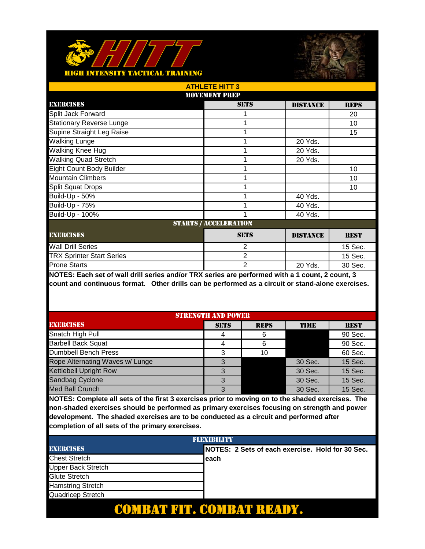



|                                  | <b>ATHLETE HITT 3</b>        |                 |             |  |  |
|----------------------------------|------------------------------|-----------------|-------------|--|--|
|                                  | <b>MOVEMENT PREP</b>         |                 |             |  |  |
| <b>EXERCISES</b>                 | <b>SETS</b>                  | <b>DISTANCE</b> | <b>REPS</b> |  |  |
| Split Jack Forward               |                              |                 | 20          |  |  |
| <b>Stationary Reverse Lunge</b>  |                              |                 | 10          |  |  |
| Supine Straight Leg Raise        |                              |                 | 15          |  |  |
| Walking Lunge                    |                              | 20 Yds.         |             |  |  |
| Walking Knee Hug                 |                              | 20 Yds.         |             |  |  |
| <b>Walking Quad Stretch</b>      |                              | 20 Yds.         |             |  |  |
| <b>Eight Count Body Builder</b>  |                              |                 | 10          |  |  |
| <b>Mountain Climbers</b>         |                              |                 | 10          |  |  |
| <b>Split Squat Drops</b>         |                              |                 | 10          |  |  |
| Build-Up - 50%                   |                              | 40 Yds.         |             |  |  |
| <b>Build-Up - 75%</b>            |                              | 40 Yds.         |             |  |  |
| Build-Up - 100%                  |                              | 40 Yds.         |             |  |  |
|                                  | <b>STARTS / ACCELERATION</b> |                 |             |  |  |
| <b>EXERCISES</b>                 | <b>SETS</b>                  | <b>DISTANCE</b> | <b>REST</b> |  |  |
| <b>Wall Drill Series</b>         | 2                            |                 | 15 Sec.     |  |  |
| <b>TRX Sprinter Start Series</b> | 2                            |                 | 15 Sec.     |  |  |
| <b>Prone Starts</b>              | 2                            | 20 Yds.         | 30 Sec.     |  |  |

| <b>STRENGTH AND POWER</b>       |             |             |             |             |
|---------------------------------|-------------|-------------|-------------|-------------|
| <b>EXERCISES</b>                | <b>SETS</b> | <b>REPS</b> | <b>TIME</b> | <b>REST</b> |
| Snatch High Pull                | 4           |             |             | 90 Sec.     |
| <b>Barbell Back Squat</b>       | 4           | 6           |             | 90 Sec.     |
| Dumbbell Bench Press            | 3           | 10          |             | 60 Sec.     |
| Rope Alternating Waves w/ Lunge |             |             | 30 Sec.     | 15 Sec.     |
| <b>Kettlebell Upright Row</b>   | 3           |             | 30 Sec.     | 15 Sec.     |
| Sandbag Cyclone                 | 3           |             | 30 Sec.     | 15 Sec.     |
| <b>Med Ball Crunch</b>          | 3           |             | 30 Sec.     | 15 Sec.     |

| <b>FLEXIBILITY</b>       |                                                   |  |
|--------------------------|---------------------------------------------------|--|
| <b>EXERCISES</b>         | INOTES: 2 Sets of each exercise. Hold for 30 Sec. |  |
| <b>Chest Stretch</b>     | each                                              |  |
| Upper Back Stretch       |                                                   |  |
| Glute Stretch            |                                                   |  |
| <b>Hamstring Stretch</b> |                                                   |  |
| Quadricep Stretch        |                                                   |  |
|                          |                                                   |  |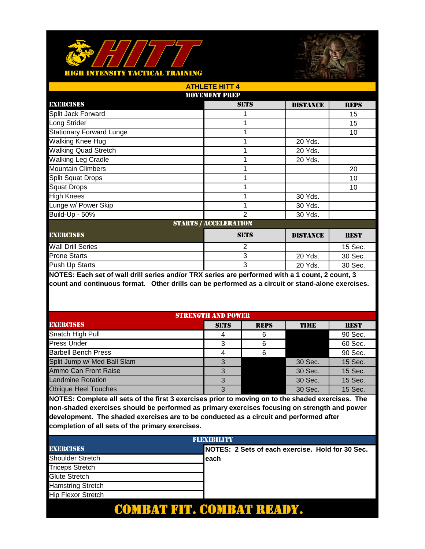



| <b>ATHLETE HITT 4</b>           |                              |                 |             |  |
|---------------------------------|------------------------------|-----------------|-------------|--|
| <b>MOVEMENT PREP</b>            |                              |                 |             |  |
| <b>EXERCISES</b>                | <b>SETS</b>                  | <b>DISTANCE</b> | <b>REPS</b> |  |
| Split Jack Forward              |                              |                 | 15          |  |
| Long Strider                    |                              |                 | 15          |  |
| <b>Stationary Forward Lunge</b> |                              |                 | 10          |  |
| Walking Knee Hug                |                              | 20 Yds.         |             |  |
| <b>Walking Quad Stretch</b>     |                              | 20 Yds.         |             |  |
| Walking Leg Cradle              |                              | 20 Yds.         |             |  |
| <b>Mountain Climbers</b>        |                              |                 | 20          |  |
| <b>Split Squat Drops</b>        |                              |                 | 10          |  |
| <b>Squat Drops</b>              |                              |                 | 10          |  |
| <b>High Knees</b>               |                              | 30 Yds.         |             |  |
| Lunge w/ Power Skip             |                              | 30 Yds.         |             |  |
| Build-Up - 50%                  | $\overline{2}$               | 30 Yds.         |             |  |
|                                 | <b>STARTS / ACCELERATION</b> |                 |             |  |
| <b>EXERCISES</b>                | <b>SETS</b>                  | <b>DISTANCE</b> | <b>REST</b> |  |
| <b>Wall Drill Series</b>        | 2                            |                 | 15 Sec.     |  |
| <b>Prone Starts</b>             | 3                            | 20 Yds.         | 30 Sec.     |  |
| Push Up Starts                  | 3                            | 20 Yds.         | 30 Sec.     |  |

| <b>STRENGTH AND POWER</b>   |             |             |             |             |
|-----------------------------|-------------|-------------|-------------|-------------|
| <b>EXERCISES</b>            | <b>SETS</b> | <b>REPS</b> | <b>TIME</b> | <b>REST</b> |
| Snatch High Pull            |             |             |             | 90 Sec.     |
| <b>Press Under</b>          | 3           | 6           |             | 60 Sec.     |
| <b>Barbell Bench Press</b>  |             |             |             | 90 Sec.     |
| Split Jump w/ Med Ball Slam |             |             | 30 Sec.     | 15 Sec.     |
| Ammo Can Front Raise        | 3           |             | 30 Sec.     | 15 Sec.     |
| <b>Landmine Rotation</b>    |             |             | 30 Sec.     | 15 Sec.     |
| <b>Oblique Heel Touches</b> | 3           |             | 30 Sec.     | 15 Sec.     |

| <b>FLEXIBILITY</b>        |  |                                                   |
|---------------------------|--|---------------------------------------------------|
| <b>EXERCISES</b>          |  | INOTES: 2 Sets of each exercise. Hold for 30 Sec. |
| <b>Shoulder Stretch</b>   |  | each                                              |
| <b>Triceps Stretch</b>    |  |                                                   |
| <b>Glute Stretch</b>      |  |                                                   |
| <b>Hamstring Stretch</b>  |  |                                                   |
| <b>Hip Flexor Stretch</b> |  |                                                   |
|                           |  |                                                   |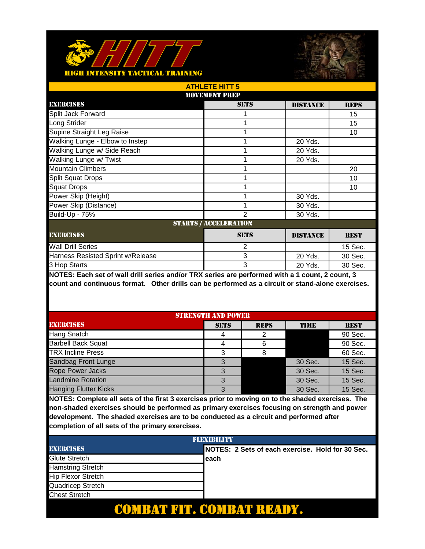



| <b>ATHLETE HITT 5</b>             |                              |                 |             |
|-----------------------------------|------------------------------|-----------------|-------------|
|                                   | <b>MOVEMENT PREP</b>         |                 |             |
| <b>EXERCISES</b>                  | <b>SETS</b>                  | <b>DISTANCE</b> | <b>REPS</b> |
| Split Jack Forward                |                              |                 | 15          |
| Long Strider                      |                              |                 | 15          |
| Supine Straight Leg Raise         |                              |                 | 10          |
| Walking Lunge - Elbow to Instep   |                              | 20 Yds.         |             |
| Walking Lunge w/ Side Reach       |                              | 20 Yds.         |             |
| Walking Lunge w/ Twist            |                              | 20 Yds.         |             |
| <b>Mountain Climbers</b>          |                              |                 | 20          |
| <b>Split Squat Drops</b>          |                              |                 | 10          |
| <b>Squat Drops</b>                |                              |                 | 10          |
| Power Skip (Height)               |                              | 30 Yds.         |             |
| Power Skip (Distance)             |                              | 30 Yds.         |             |
| Build-Up - 75%                    | 2                            | 30 Yds.         |             |
|                                   | <b>STARTS / ACCELERATION</b> |                 |             |
| <b>EXERCISES</b>                  | <b>SETS</b>                  | <b>DISTANCE</b> | <b>REST</b> |
| <b>Wall Drill Series</b>          | $\overline{2}$               |                 | 15 Sec.     |
| Harness Resisted Sprint w/Release | 3                            | 20 Yds.         | 30 Sec.     |
| 3 Hop Starts                      | 3                            | 20 Yds.         | 30 Sec.     |

| <b>STRENGTH AND POWER</b>    |             |             |             |             |
|------------------------------|-------------|-------------|-------------|-------------|
| <b>EXERCISES</b>             | <b>SETS</b> | <b>REPS</b> | <b>TIME</b> | <b>REST</b> |
| Hang Snatch                  |             |             |             | 90 Sec.     |
| <b>Barbell Back Squat</b>    |             |             |             | 90 Sec.     |
| <b>TRX Incline Press</b>     | 3           |             |             | 60 Sec.     |
| Sandbag Front Lunge          |             |             | 30 Sec.     | 15 Sec.     |
| <b>Rope Power Jacks</b>      | 3           |             | 30 Sec.     | 15 Sec.     |
| <b>Landmine Rotation</b>     | 3           |             | 30 Sec.     | 15 Sec.     |
| <b>Hanging Flutter Kicks</b> | 3           |             | 30 Sec.     | 15 Sec.     |

| <b>FLEXIBILITY</b>        |  |                                                   |  |
|---------------------------|--|---------------------------------------------------|--|
| <b>EXERCISES</b>          |  | INOTES: 2 Sets of each exercise. Hold for 30 Sec. |  |
| Glute Stretch             |  | each                                              |  |
| <b>Hamstring Stretch</b>  |  |                                                   |  |
| <b>Hip Flexor Stretch</b> |  |                                                   |  |
| Quadricep Stretch         |  |                                                   |  |
| <b>Chest Stretch</b>      |  |                                                   |  |
|                           |  |                                                   |  |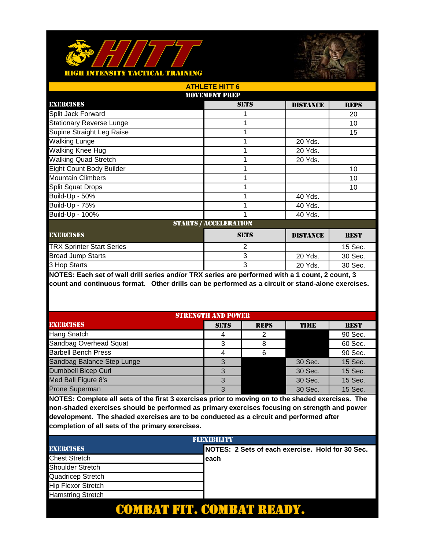



| <b>ATHLETE HITT 6</b>            |                              |                 |             |  |  |
|----------------------------------|------------------------------|-----------------|-------------|--|--|
|                                  | <b>MOVEMENT PREP</b>         |                 |             |  |  |
| <b>EXERCISES</b>                 | <b>SETS</b>                  | <b>DISTANCE</b> | <b>REPS</b> |  |  |
| Split Jack Forward               |                              |                 | 20          |  |  |
| <b>Stationary Reverse Lunge</b>  |                              |                 | 10          |  |  |
| Supine Straight Leg Raise        |                              |                 | 15          |  |  |
| <b>Walking Lunge</b>             |                              | 20 Yds.         |             |  |  |
| Walking Knee Hug                 |                              | 20 Yds.         |             |  |  |
| <b>Walking Quad Stretch</b>      |                              | 20 Yds.         |             |  |  |
| <b>Eight Count Body Builder</b>  |                              |                 | 10          |  |  |
| <b>Mountain Climbers</b>         |                              |                 | 10          |  |  |
| <b>Split Squat Drops</b>         |                              |                 | 10          |  |  |
| Build-Up - 50%                   |                              | 40 Yds.         |             |  |  |
| <b>Build-Up - 75%</b>            |                              | 40 Yds.         |             |  |  |
| Build-Up - 100%                  |                              | 40 Yds.         |             |  |  |
|                                  | <b>STARTS / ACCELERATION</b> |                 |             |  |  |
| <b>EXERCISES</b>                 | <b>SETS</b>                  | <b>DISTANCE</b> | <b>REST</b> |  |  |
| <b>TRX Sprinter Start Series</b> | 2                            |                 | 15 Sec.     |  |  |
| <b>Broad Jump Starts</b>         | 3                            | 20 Yds.         | 30 Sec.     |  |  |
| 3 Hop Starts                     | 3                            | 20 Yds.         | 30 Sec.     |  |  |

| <b>STRENGTH AND POWER</b>  |             |             |             |             |
|----------------------------|-------------|-------------|-------------|-------------|
| <b>EXERCISES</b>           | <b>SETS</b> | <b>REPS</b> | <b>TIME</b> | <b>REST</b> |
| Hang Snatch                |             |             |             | 90 Sec.     |
| Sandbag Overhead Squat     | 3           |             |             | 60 Sec.     |
| <b>Barbell Bench Press</b> |             |             |             | 90 Sec.     |
| Sandbag Balance Step Lunge | 3           |             | 30 Sec.     | 15 Sec.     |
| Dumbbell Bicep Curl        | 3           |             | 30 Sec.     | 15 Sec.     |
| Med Ball Figure 8's        | 3           |             | 30 Sec.     | 15 Sec.     |
| <b>Prone Superman</b>      | 3           |             | 30 Sec.     | 15 Sec.     |

| <b>FLEXIBILITY</b>        |  |                                                   |  |
|---------------------------|--|---------------------------------------------------|--|
| <b>EXERCISES</b>          |  | INOTES: 2 Sets of each exercise. Hold for 30 Sec. |  |
| <b>Chest Stretch</b>      |  | each                                              |  |
| <b>Shoulder Stretch</b>   |  |                                                   |  |
| Quadricep Stretch         |  |                                                   |  |
| <b>Hip Flexor Stretch</b> |  |                                                   |  |
| <b>Hamstring Stretch</b>  |  |                                                   |  |
|                           |  |                                                   |  |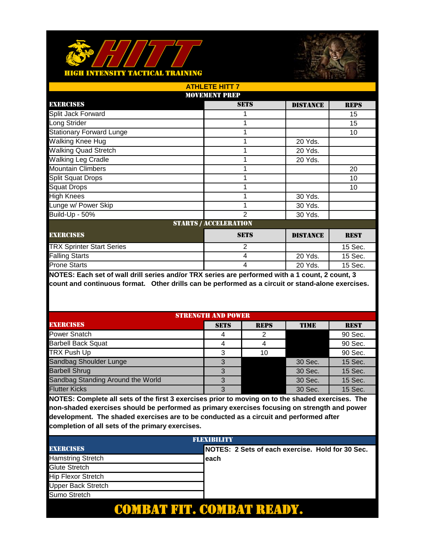



| <b>ATHLETE HITT 7</b>            |                              |                 |             |
|----------------------------------|------------------------------|-----------------|-------------|
|                                  | <b>MOVEMENT PREP</b>         |                 |             |
| <b>EXERCISES</b>                 | <b>SETS</b>                  | <b>DISTANCE</b> | <b>REPS</b> |
| Split Jack Forward               |                              |                 | 15          |
| Long Strider                     |                              |                 | 15          |
| <b>Stationary Forward Lunge</b>  |                              |                 | 10          |
| Walking Knee Hug                 |                              | 20 Yds.         |             |
| <b>Walking Quad Stretch</b>      |                              | 20 Yds.         |             |
| Walking Leg Cradle               |                              | 20 Yds.         |             |
| <b>Mountain Climbers</b>         |                              |                 | 20          |
| <b>Split Squat Drops</b>         |                              |                 | 10          |
| <b>Squat Drops</b>               |                              |                 | 10          |
| <b>High Knees</b>                |                              | 30 Yds.         |             |
| Lunge w/ Power Skip              |                              | 30 Yds.         |             |
| Build-Up - 50%                   | $\mathfrak{p}$               | 30 Yds.         |             |
|                                  | <b>STARTS / ACCELERATION</b> |                 |             |
| <b>EXERCISES</b>                 | <b>SETS</b>                  | <b>DISTANCE</b> | <b>REST</b> |
| <b>TRX Sprinter Start Series</b> | $\overline{2}$               |                 | 15 Sec.     |
| <b>Falling Starts</b>            | 4                            | 20 Yds.         | 15 Sec.     |
| <b>Prone Starts</b>              | 4                            | 20 Yds.         | 15 Sec.     |

| <b>STRENGTH AND POWER</b>         |             |             |             |             |
|-----------------------------------|-------------|-------------|-------------|-------------|
| <b>EXERCISES</b>                  | <b>SETS</b> | <b>REPS</b> | <b>TIME</b> | <b>REST</b> |
| <b>Power Snatch</b>               |             |             |             | 90 Sec.     |
| <b>Barbell Back Squat</b>         |             |             |             | 90 Sec.     |
| <b>TRX Push Up</b>                | 3           | 10          |             | 90 Sec.     |
| Sandbag Shoulder Lunge            | З           |             | 30 Sec.     | 15 Sec.     |
| <b>Barbell Shrug</b>              | 3           |             | 30 Sec.     | 15 Sec.     |
| Sandbag Standing Around the World | 3           |             | 30 Sec.     | 15 Sec.     |
| <b>Flutter Kicks</b>              | 3           |             | 30 Sec.     | 15 Sec.     |

| <b>FLEXIBILITY</b>        |                                                   |  |  |
|---------------------------|---------------------------------------------------|--|--|
| <b>EXERCISES</b>          | INOTES: 2 Sets of each exercise. Hold for 30 Sec. |  |  |
| <b>Hamstring Stretch</b>  | each                                              |  |  |
| Glute Stretch             |                                                   |  |  |
| <b>Hip Flexor Stretch</b> |                                                   |  |  |
| <b>Upper Back Stretch</b> |                                                   |  |  |
| Sumo Stretch              |                                                   |  |  |
|                           |                                                   |  |  |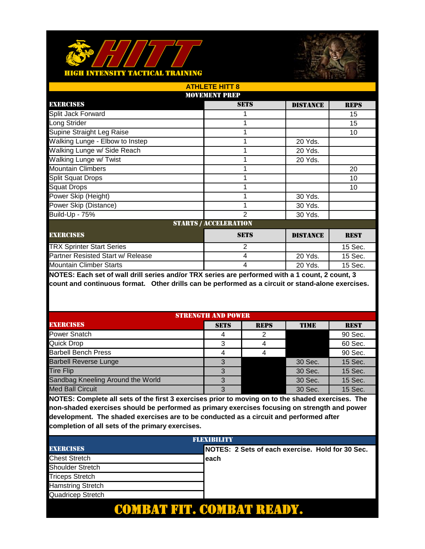



| <b>ATHLETE HITT 8</b>             |                              |                 |             |
|-----------------------------------|------------------------------|-----------------|-------------|
|                                   | <b>MOVEMENT PREP</b>         |                 |             |
| <b>EXERCISES</b>                  | <b>SETS</b>                  | <b>DISTANCE</b> | <b>REPS</b> |
| Split Jack Forward                |                              |                 | 15          |
| Long Strider                      |                              |                 | 15          |
| Supine Straight Leg Raise         |                              |                 | 10          |
| Walking Lunge - Elbow to Instep   |                              | 20 Yds.         |             |
| Walking Lunge w/ Side Reach       |                              | 20 Yds.         |             |
| Walking Lunge w/ Twist            |                              | 20 Yds.         |             |
| <b>Mountain Climbers</b>          |                              |                 | 20          |
| <b>Split Squat Drops</b>          |                              |                 | 10          |
| <b>Squat Drops</b>                |                              |                 | 10          |
| Power Skip (Height)               |                              | 30 Yds.         |             |
| Power Skip (Distance)             |                              | 30 Yds.         |             |
| Build-Up - 75%                    | 2                            | 30 Yds.         |             |
|                                   | <b>STARTS / ACCELERATION</b> |                 |             |
| <b>EXERCISES</b>                  | <b>SETS</b>                  | <b>DISTANCE</b> | <b>REST</b> |
| <b>TRX Sprinter Start Series</b>  | $\overline{2}$               |                 | 15 Sec.     |
| Partner Resisted Start w/ Release | 4                            | 20 Yds.         | 15 Sec.     |
| <b>Mountain Climber Starts</b>    | 4                            | 20 Yds.         | 15 Sec.     |

| <b>STRENGTH AND POWER</b>         |             |             |             |             |
|-----------------------------------|-------------|-------------|-------------|-------------|
| <b>EXERCISES</b>                  | <b>SETS</b> | <b>REPS</b> | <b>TIME</b> | <b>REST</b> |
| Power Snatch                      |             |             |             | 90 Sec.     |
| <b>Quick Drop</b>                 | 3           |             |             | 60 Sec.     |
| <b>Barbell Bench Press</b>        |             |             |             | 90 Sec.     |
| <b>Barbell Reverse Lunge</b>      |             |             | 30 Sec.     | 15 Sec.     |
| <b>Tire Flip</b>                  |             |             | 30 Sec.     | 15 Sec.     |
| Sandbag Kneeling Around the World | 3           |             | 30 Sec.     | 15 Sec.     |
| <b>Med Ball Circuit</b>           | 3           |             | 30 Sec.     | 15 Sec.     |

| <b>FLEXIBILITY</b>       |  |                                                   |  |
|--------------------------|--|---------------------------------------------------|--|
| <b>EXERCISES</b>         |  | INOTES: 2 Sets of each exercise. Hold for 30 Sec. |  |
| <b>Chest Stretch</b>     |  | each                                              |  |
| <b>Shoulder Stretch</b>  |  |                                                   |  |
| <b>Triceps Stretch</b>   |  |                                                   |  |
| <b>Hamstring Stretch</b> |  |                                                   |  |
| Quadricep Stretch        |  |                                                   |  |
|                          |  |                                                   |  |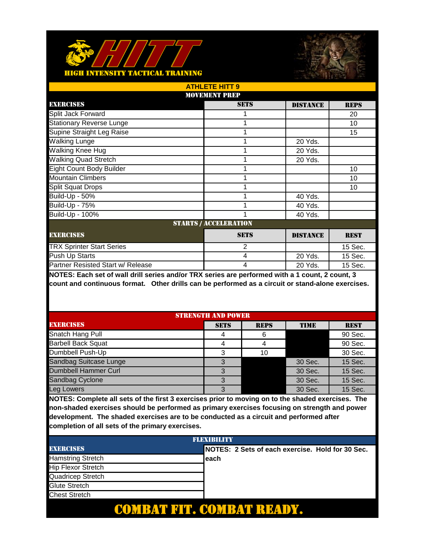



| <b>ATHLETE HITT 9</b>             |                              |                 |             |  |  |
|-----------------------------------|------------------------------|-----------------|-------------|--|--|
| <b>MOVEMENT PREP</b>              |                              |                 |             |  |  |
| <b>EXERCISES</b>                  | <b>SETS</b>                  | <b>DISTANCE</b> | <b>REPS</b> |  |  |
| Split Jack Forward                |                              |                 | 20          |  |  |
| <b>Stationary Reverse Lunge</b>   |                              |                 | 10          |  |  |
| Supine Straight Leg Raise         |                              |                 | 15          |  |  |
| <b>Walking Lunge</b>              |                              | 20 Yds.         |             |  |  |
| Walking Knee Hug                  |                              | 20 Yds.         |             |  |  |
| <b>Walking Quad Stretch</b>       |                              | 20 Yds.         |             |  |  |
| <b>Eight Count Body Builder</b>   |                              |                 | 10          |  |  |
| <b>Mountain Climbers</b>          |                              |                 | 10          |  |  |
| <b>Split Squat Drops</b>          |                              |                 | 10          |  |  |
| Build-Up - 50%                    |                              | 40 Yds.         |             |  |  |
| <b>Build-Up - 75%</b>             |                              | 40 Yds.         |             |  |  |
| Build-Up - 100%                   |                              | 40 Yds.         |             |  |  |
|                                   | <b>STARTS / ACCELERATION</b> |                 |             |  |  |
| <b>EXERCISES</b>                  | <b>SETS</b>                  | <b>DISTANCE</b> | <b>REST</b> |  |  |
| <b>TRX Sprinter Start Series</b>  | $\overline{2}$               |                 | 15 Sec.     |  |  |
| Push Up Starts                    | 4                            | 20 Yds.         | 15 Sec.     |  |  |
| Partner Resisted Start w/ Release | 4                            | 20 Yds.         | 15 Sec.     |  |  |

| <b>STRENGTH AND POWER</b> |             |             |             |             |
|---------------------------|-------------|-------------|-------------|-------------|
| <b>EXERCISES</b>          | <b>SETS</b> | <b>REPS</b> | <b>TIME</b> | <b>REST</b> |
| Snatch Hang Pull          | 4           |             |             | 90 Sec.     |
| <b>Barbell Back Squat</b> | 4           |             |             | 90 Sec.     |
| Dumbbell Push-Up          | 3           | 10          |             | 30 Sec.     |
| Sandbag Suitcase Lunge    |             |             | 30 Sec.     | 15 Sec.     |
| Dumbbell Hammer Curl      | 3           |             | 30 Sec.     | 15 Sec.     |
| Sandbag Cyclone           | 3           |             | 30 Sec.     | 15 Sec.     |
| ea Lowers                 | 3           |             | 30 Sec.     | 15 Sec.     |

| <b>FLEXIBILITY</b>        |  |                                                   |  |
|---------------------------|--|---------------------------------------------------|--|
| <b>EXERCISES</b>          |  | INOTES: 2 Sets of each exercise. Hold for 30 Sec. |  |
| <b>Hamstring Stretch</b>  |  | each                                              |  |
| <b>Hip Flexor Stretch</b> |  |                                                   |  |
| Quadricep Stretch         |  |                                                   |  |
| Glute Stretch             |  |                                                   |  |
| <b>Chest Stretch</b>      |  |                                                   |  |
|                           |  |                                                   |  |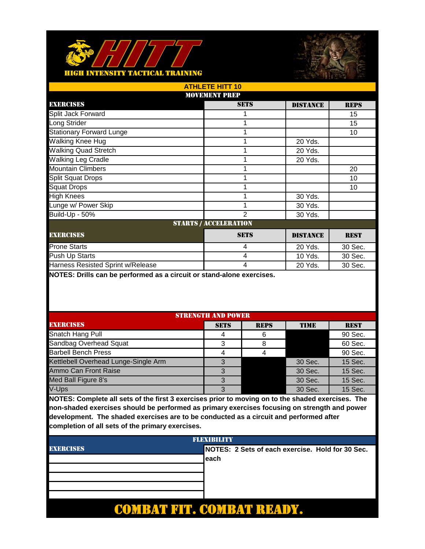



| <b>ATHLETE HITT 10</b>            |                              |                 |             |  |
|-----------------------------------|------------------------------|-----------------|-------------|--|
|                                   | <b>MOVEMENT PREP</b>         |                 |             |  |
| <b>EXERCISES</b>                  | <b>SETS</b>                  | <b>DISTANCE</b> | <b>REPS</b> |  |
| Split Jack Forward                |                              |                 | 15          |  |
| Long Strider                      |                              |                 | 15          |  |
| <b>Stationary Forward Lunge</b>   |                              |                 | 10          |  |
| Walking Knee Hug                  |                              | 20 Yds.         |             |  |
| <b>Walking Quad Stretch</b>       |                              | 20 Yds.         |             |  |
| <b>Walking Leg Cradle</b>         |                              | 20 Yds.         |             |  |
| <b>Mountain Climbers</b>          |                              |                 | 20          |  |
| <b>Split Squat Drops</b>          |                              |                 | 10          |  |
| <b>Squat Drops</b>                |                              |                 | 10          |  |
| <b>High Knees</b>                 |                              | 30 Yds.         |             |  |
| Lunge w/ Power Skip               |                              | 30 Yds.         |             |  |
| Build-Up - 50%                    | 2                            | 30 Yds.         |             |  |
|                                   | <b>STARTS / ACCELERATION</b> |                 |             |  |
| <b>EXERCISES</b>                  | <b>SETS</b>                  | <b>DISTANCE</b> | <b>REST</b> |  |
| <b>Prone Starts</b>               | 4                            | 20 Yds.         | 30 Sec.     |  |
| Push Up Starts                    | $\overline{4}$               | 10 Yds.         | 30 Sec.     |  |
| Harness Resisted Sprint w/Release | 4                            | 20 Yds.         | 30 Sec.     |  |

| <b>STRENGTH AND POWER</b>            |             |             |             |             |
|--------------------------------------|-------------|-------------|-------------|-------------|
| <b>EXERCISES</b>                     | <b>SETS</b> | <b>REPS</b> | <b>TIME</b> | <b>REST</b> |
| Snatch Hang Pull                     | 4           | 6           |             | 90 Sec.     |
| Sandbag Overhead Squat               |             |             |             | 60 Sec.     |
| <b>Barbell Bench Press</b>           |             |             |             | 90 Sec.     |
| Kettlebell Overhead Lunge-Single Arm | 3           |             | 30 Sec.     | 15 Sec.     |
| Ammo Can Front Raise                 | 3           |             | 30 Sec.     | 15 Sec.     |
| Med Ball Figure 8's                  | 3           |             | 30 Sec.     | 15 Sec.     |
| V-Ups                                | 3           |             | 30 Sec.     | 15 Sec.     |

| <b>FLEXIBILITY</b> |                                                   |  |
|--------------------|---------------------------------------------------|--|
| <b>EXERCISES</b>   | INOTES: 2 Sets of each exercise. Hold for 30 Sec. |  |
|                    | leach                                             |  |
|                    |                                                   |  |
|                    |                                                   |  |
|                    |                                                   |  |
|                    |                                                   |  |
|                    |                                                   |  |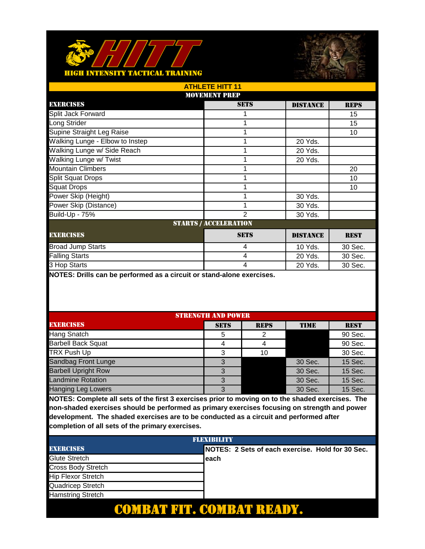



| <b>ATHLETE HITT 11</b>          |                              |                 |             |  |
|---------------------------------|------------------------------|-----------------|-------------|--|
|                                 | <b>MOVEMENT PREP</b>         |                 |             |  |
| <b>EXERCISES</b>                | <b>SETS</b>                  | <b>DISTANCE</b> | <b>REPS</b> |  |
| Split Jack Forward              |                              |                 | 15          |  |
| Long Strider                    |                              |                 | 15          |  |
| Supine Straight Leg Raise       |                              |                 | 10          |  |
| Walking Lunge - Elbow to Instep |                              | 20 Yds.         |             |  |
| Walking Lunge w/ Side Reach     |                              | 20 Yds.         |             |  |
| Walking Lunge w/ Twist          |                              | 20 Yds.         |             |  |
| <b>Mountain Climbers</b>        |                              |                 | 20          |  |
| <b>Split Squat Drops</b>        |                              |                 | 10          |  |
| <b>Squat Drops</b>              |                              |                 | 10          |  |
| Power Skip (Height)             |                              | 30 Yds.         |             |  |
| Power Skip (Distance)           |                              | 30 Yds.         |             |  |
| <b>Build-Up - 75%</b>           | $\mathfrak{p}$               | 30 Yds.         |             |  |
|                                 | <b>STARTS / ACCELERATION</b> |                 |             |  |
| <b>EXERCISES</b>                | <b>SETS</b>                  | <b>DISTANCE</b> | <b>REST</b> |  |
| <b>Broad Jump Starts</b>        | 4                            | 10 Yds.         | 30 Sec.     |  |
| <b>Falling Starts</b>           | $\overline{4}$               | 20 Yds.         | 30 Sec.     |  |
| 3 Hop Starts                    | 4                            | 20 Yds.         | 30 Sec.     |  |

| <b>STRENGTH AND POWER</b>  |             |             |             |             |
|----------------------------|-------------|-------------|-------------|-------------|
| <b>EXERCISES</b>           | <b>SETS</b> | <b>REPS</b> | <b>TIME</b> | <b>REST</b> |
| Hang Snatch                | 5           |             |             | 90 Sec.     |
| <b>Barbell Back Squat</b>  | 4           |             |             | 90 Sec.     |
| <b>TRX Push Up</b>         | 3           | 10          |             | 30 Sec.     |
| Sandbag Front Lunge        | 3           |             | 30 Sec.     | 15 Sec.     |
| <b>Barbell Upright Row</b> | 3           |             | 30 Sec.     | 15 Sec.     |
| <b>Landmine Rotation</b>   | 3           |             | 30 Sec.     | 15 Sec.     |
| <b>Hanging Leg Lowers</b>  | 3           |             | 30 Sec.     | 15 Sec.     |

| <b>FLEXIBILITY</b>        |                                                   |  |  |
|---------------------------|---------------------------------------------------|--|--|
| <b>EXERCISES</b>          | INOTES: 2 Sets of each exercise. Hold for 30 Sec. |  |  |
| Glute Stretch             | each                                              |  |  |
| Cross Body Stretch        |                                                   |  |  |
| <b>Hip Flexor Stretch</b> |                                                   |  |  |
| Quadricep Stretch         |                                                   |  |  |
| <b>Hamstring Stretch</b>  |                                                   |  |  |
|                           |                                                   |  |  |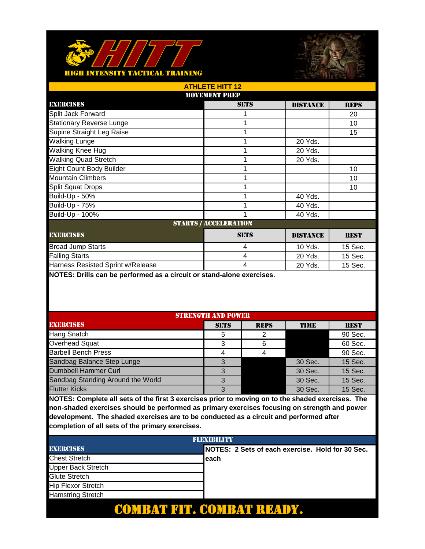



| ATHLETE HITT 12                   |                              |                 |             |  |  |  |
|-----------------------------------|------------------------------|-----------------|-------------|--|--|--|
|                                   | <b>MOVEMENT PREP</b>         |                 |             |  |  |  |
| <b>EXERCISES</b>                  | <b>SETS</b>                  | <b>DISTANCE</b> | <b>REPS</b> |  |  |  |
| Split Jack Forward                |                              |                 | 20          |  |  |  |
| <b>Stationary Reverse Lunge</b>   |                              |                 | 10          |  |  |  |
| Supine Straight Leg Raise         |                              |                 | 15          |  |  |  |
| <b>Walking Lunge</b>              |                              | 20 Yds.         |             |  |  |  |
| Walking Knee Hug                  |                              | 20 Yds.         |             |  |  |  |
| <b>Walking Quad Stretch</b>       |                              | 20 Yds.         |             |  |  |  |
| <b>Eight Count Body Builder</b>   |                              |                 | 10          |  |  |  |
| <b>Mountain Climbers</b>          |                              |                 | 10          |  |  |  |
| <b>Split Squat Drops</b>          |                              |                 | 10          |  |  |  |
| Build-Up - 50%                    |                              | 40 Yds.         |             |  |  |  |
| <b>Build-Up - 75%</b>             |                              | 40 Yds.         |             |  |  |  |
| Build-Up - 100%                   |                              | 40 Yds.         |             |  |  |  |
|                                   | <b>STARTS / ACCELERATION</b> |                 |             |  |  |  |
| <b>EXERCISES</b>                  | <b>SETS</b>                  | <b>DISTANCE</b> | <b>REST</b> |  |  |  |
| <b>Broad Jump Starts</b>          | $\overline{4}$               | 10 Yds.         | 15 Sec.     |  |  |  |
| <b>Falling Starts</b>             | $\overline{4}$               | 20 Yds.         | 15 Sec.     |  |  |  |
| Harness Resisted Sprint w/Release | 4                            | 20 Yds.         | 15 Sec.     |  |  |  |

| <b>STRENGTH AND POWER</b>         |             |             |         |             |
|-----------------------------------|-------------|-------------|---------|-------------|
| <b>EXERCISES</b>                  | <b>SETS</b> | <b>REPS</b> | TIME    | <b>REST</b> |
| Hang Snatch                       | 5           |             |         | 90 Sec.     |
| Overhead Squat                    | 3           |             |         | 60 Sec.     |
| <b>Barbell Bench Press</b>        |             |             |         | 90 Sec.     |
| Sandbag Balance Step Lunge        | З           |             | 30 Sec. | 15 Sec.     |
| Dumbbell Hammer Curl              | 3           |             | 30 Sec. | 15 Sec.     |
| Sandbag Standing Around the World | 3           |             | 30 Sec. | 15 Sec.     |
| <b>Flutter Kicks</b>              | 3           |             | 30 Sec. | 15 Sec.     |

| FLEXIBILITY               |  |                                                  |  |
|---------------------------|--|--------------------------------------------------|--|
| <b>EXERCISES</b>          |  | NOTES: 2 Sets of each exercise. Hold for 30 Sec. |  |
| <b>Chest Stretch</b>      |  | each                                             |  |
| Upper Back Stretch        |  |                                                  |  |
| Glute Stretch             |  |                                                  |  |
| <b>Hip Flexor Stretch</b> |  |                                                  |  |
| <b>Hamstring Stretch</b>  |  |                                                  |  |
|                           |  |                                                  |  |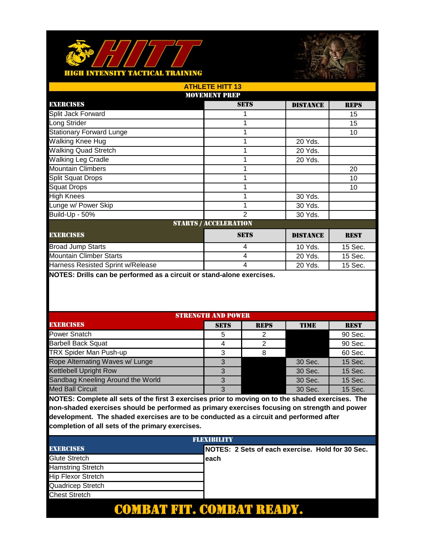



| <b>ATHLETE HITT 13</b>            |                      |                 |             |  |  |
|-----------------------------------|----------------------|-----------------|-------------|--|--|
|                                   | <b>MOVEMENT PREP</b> |                 |             |  |  |
| <b>EXERCISES</b>                  | <b>SETS</b>          | <b>DISTANCE</b> | <b>REPS</b> |  |  |
| Split Jack Forward                |                      |                 | 15          |  |  |
| Long Strider                      |                      |                 | 15          |  |  |
| <b>Stationary Forward Lunge</b>   |                      |                 | 10          |  |  |
| Walking Knee Hug                  |                      | 20 Yds.         |             |  |  |
| <b>Walking Quad Stretch</b>       |                      | 20 Yds.         |             |  |  |
| <b>Walking Leg Cradle</b>         |                      | 20 Yds.         |             |  |  |
| <b>Mountain Climbers</b>          |                      |                 | 20          |  |  |
| <b>Split Squat Drops</b>          |                      |                 | 10          |  |  |
| <b>Squat Drops</b>                |                      |                 | 10          |  |  |
| <b>High Knees</b>                 |                      | 30 Yds.         |             |  |  |
| Lunge w/ Power Skip               |                      | 30 Yds.         |             |  |  |
| Build-Up - 50%                    | 2                    | 30 Yds.         |             |  |  |
| <b>STARTS / ACCELERATION</b>      |                      |                 |             |  |  |
| <b>EXERCISES</b>                  | <b>SETS</b>          | <b>DISTANCE</b> | <b>REST</b> |  |  |
| <b>Broad Jump Starts</b>          | 4                    | 10 Yds.         | 15 Sec.     |  |  |
| <b>Mountain Climber Starts</b>    | $\overline{4}$       | 20 Yds.         | 15 Sec.     |  |  |
| Harness Resisted Sprint w/Release | 4                    | 20 Yds.         | 15 Sec.     |  |  |

| <b>STRENGTH AND POWER</b>         |             |             |         |             |
|-----------------------------------|-------------|-------------|---------|-------------|
| <b>EXERCISES</b>                  | <b>SETS</b> | <b>REPS</b> | TIME    | <b>REST</b> |
| Power Snatch                      | 5           |             |         | 90 Sec.     |
| <b>Barbell Back Squat</b>         |             |             |         | 90 Sec.     |
| <b>TRX Spider Man Push-up</b>     | ર           |             |         | 60 Sec.     |
| Rope Alternating Waves w/ Lunge   | З           |             | 30 Sec. | 15 Sec.     |
| <b>Kettlebell Upright Row</b>     | 3           |             | 30 Sec. | 15 Sec.     |
| Sandbag Kneeling Around the World | 3           |             | 30 Sec. | 15 Sec.     |
| <b>Med Ball Circuit</b>           | 3           |             | 30 Sec. | 15 Sec.     |

| <b>FLEXIBILITY</b>        |  |                                                   |  |
|---------------------------|--|---------------------------------------------------|--|
| <b>EXERCISES</b>          |  | INOTES: 2 Sets of each exercise. Hold for 30 Sec. |  |
| Glute Stretch             |  | each                                              |  |
| <b>Hamstring Stretch</b>  |  |                                                   |  |
| <b>Hip Flexor Stretch</b> |  |                                                   |  |
| Quadricep Stretch         |  |                                                   |  |
| <b>Chest Stretch</b>      |  |                                                   |  |
|                           |  |                                                   |  |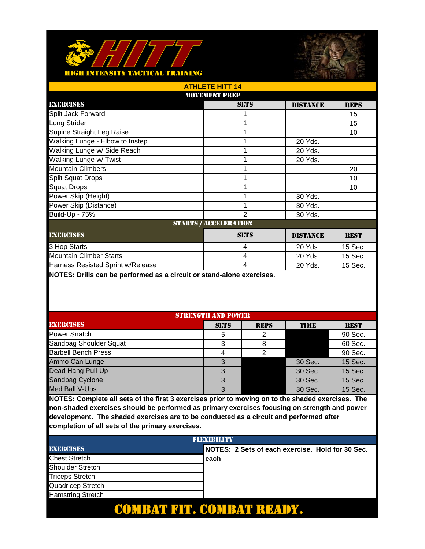



| <b>ATHLETE HITT 14</b>                                            |                      |                 |             |  |  |
|-------------------------------------------------------------------|----------------------|-----------------|-------------|--|--|
|                                                                   | <b>MOVEMENT PREP</b> |                 |             |  |  |
| <b>EXERCISES</b>                                                  | <b>SETS</b>          | <b>DISTANCE</b> | <b>REPS</b> |  |  |
| Split Jack Forward                                                |                      |                 | 15          |  |  |
| Long Strider                                                      |                      |                 | 15          |  |  |
| Supine Straight Leg Raise                                         |                      |                 | 10          |  |  |
| Walking Lunge - Elbow to Instep                                   |                      | 20 Yds.         |             |  |  |
| Walking Lunge w/ Side Reach                                       |                      | 20 Yds.         |             |  |  |
| Walking Lunge w/ Twist                                            |                      | 20 Yds.         |             |  |  |
| <b>Mountain Climbers</b>                                          |                      |                 | 20          |  |  |
| <b>Split Squat Drops</b>                                          |                      |                 | 10          |  |  |
| <b>Squat Drops</b>                                                |                      |                 | 10          |  |  |
| Power Skip (Height)                                               |                      | 30 Yds.         |             |  |  |
| Power Skip (Distance)                                             |                      | 30 Yds.         |             |  |  |
| <b>Build-Up - 75%</b>                                             | 2                    | 30 Yds.         |             |  |  |
| <b>STARTS / ACCELERATION</b>                                      |                      |                 |             |  |  |
| <b>EXERCISES</b><br><b>SETS</b><br><b>DISTANCE</b><br><b>REST</b> |                      |                 |             |  |  |
| 3 Hop Starts                                                      | 4                    | 20 Yds.         | 15 Sec.     |  |  |
| <b>Mountain Climber Starts</b>                                    | $\overline{4}$       | 20 Yds.         | 15 Sec.     |  |  |
| Harness Resisted Sprint w/Release                                 | 4                    | 20 Yds.         | 15 Sec.     |  |  |

| <b>STRENGTH AND POWER</b>  |             |             |             |             |
|----------------------------|-------------|-------------|-------------|-------------|
| <b>EXERCISES</b>           | <b>SETS</b> | <b>REPS</b> | <b>TIME</b> | <b>REST</b> |
| Power Snatch               | 5           |             |             | 90 Sec.     |
| Sandbag Shoulder Squat     | 3           |             |             | 60 Sec.     |
| <b>Barbell Bench Press</b> |             |             |             | 90 Sec.     |
| Ammo Can Lunge             | З           |             | 30 Sec.     | 15 Sec.     |
| Dead Hang Pull-Up          | 3           |             | 30 Sec.     | 15 Sec.     |
| Sandbag Cyclone            | 3           |             | 30 Sec.     | 15 Sec.     |
| Med Ball V-Ups             | 3           |             | 30 Sec.     | 15 Sec.     |

| <b>FLEXIBILITY</b>       |  |                                                   |  |
|--------------------------|--|---------------------------------------------------|--|
| <b>EXERCISES</b>         |  | INOTES: 2 Sets of each exercise. Hold for 30 Sec. |  |
| <b>Chest Stretch</b>     |  | each                                              |  |
| <b>Shoulder Stretch</b>  |  |                                                   |  |
| <b>Triceps Stretch</b>   |  |                                                   |  |
| Quadricep Stretch        |  |                                                   |  |
| <b>Hamstring Stretch</b> |  |                                                   |  |
|                          |  |                                                   |  |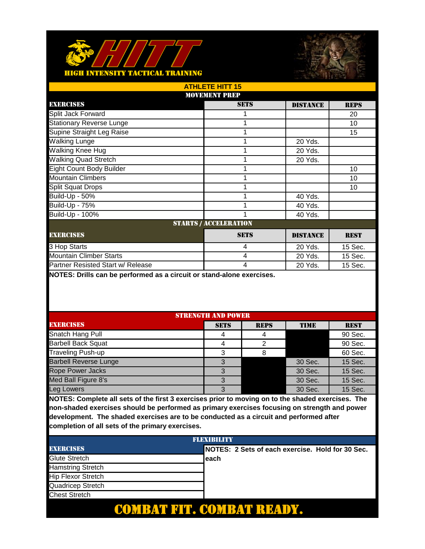



| <b>ATHLETE HITT 15</b>            |                              |                 |             |  |  |  |
|-----------------------------------|------------------------------|-----------------|-------------|--|--|--|
|                                   | <b>MOVEMENT PREP</b>         |                 |             |  |  |  |
| <b>EXERCISES</b>                  | <b>SETS</b>                  | <b>DISTANCE</b> | <b>REPS</b> |  |  |  |
| Split Jack Forward                |                              |                 | 20          |  |  |  |
| <b>Stationary Reverse Lunge</b>   |                              |                 | 10          |  |  |  |
| Supine Straight Leg Raise         |                              |                 | 15          |  |  |  |
| Walking Lunge                     |                              | 20 Yds.         |             |  |  |  |
| Walking Knee Hug                  |                              | 20 Yds.         |             |  |  |  |
| <b>Walking Quad Stretch</b>       |                              | 20 Yds.         |             |  |  |  |
| <b>Eight Count Body Builder</b>   |                              |                 | 10          |  |  |  |
| <b>Mountain Climbers</b>          |                              |                 | 10          |  |  |  |
| <b>Split Squat Drops</b>          |                              |                 | 10          |  |  |  |
| Build-Up - 50%                    |                              | 40 Yds.         |             |  |  |  |
| <b>Build-Up - 75%</b>             |                              | 40 Yds.         |             |  |  |  |
| Build-Up - 100%                   |                              | 40 Yds.         |             |  |  |  |
|                                   | <b>STARTS / ACCELERATION</b> |                 |             |  |  |  |
| <b>EXERCISES</b>                  | <b>SETS</b>                  | <b>DISTANCE</b> | <b>REST</b> |  |  |  |
| 3 Hop Starts                      | $\overline{4}$               | 20 Yds.         | 15 Sec.     |  |  |  |
| <b>Mountain Climber Starts</b>    | $\overline{4}$               | 20 Yds.         | 15 Sec.     |  |  |  |
| Partner Resisted Start w/ Release | 4                            | 20 Yds.         | 15 Sec.     |  |  |  |

| <b>STRENGTH AND POWER</b>    |             |             |             |             |
|------------------------------|-------------|-------------|-------------|-------------|
| <b>EXERCISES</b>             | <b>SETS</b> | <b>REPS</b> | <b>TIME</b> | <b>REST</b> |
| Snatch Hang Pull             |             |             |             | 90 Sec.     |
| <b>Barbell Back Squat</b>    |             | ⌒           |             | 90 Sec.     |
| Traveling Push-up            | 3           |             |             | 60 Sec.     |
| <b>Barbell Reverse Lunge</b> | 3           |             | 30 Sec.     | 15 Sec.     |
| <b>Rope Power Jacks</b>      | 3           |             | 30 Sec.     | 15 Sec.     |
| Med Ball Figure 8's          | 3           |             | 30 Sec.     | 15 Sec.     |
| Leg Lowers                   | 3           |             | 30 Sec.     | 15 Sec.     |

| <b>FLEXIBILITY</b>        |  |                                                   |  |
|---------------------------|--|---------------------------------------------------|--|
| <b>EXERCISES</b>          |  | INOTES: 2 Sets of each exercise. Hold for 30 Sec. |  |
| Glute Stretch             |  | each                                              |  |
| <b>Hamstring Stretch</b>  |  |                                                   |  |
| <b>Hip Flexor Stretch</b> |  |                                                   |  |
| Quadricep Stretch         |  |                                                   |  |
| <b>Chest Stretch</b>      |  |                                                   |  |
|                           |  |                                                   |  |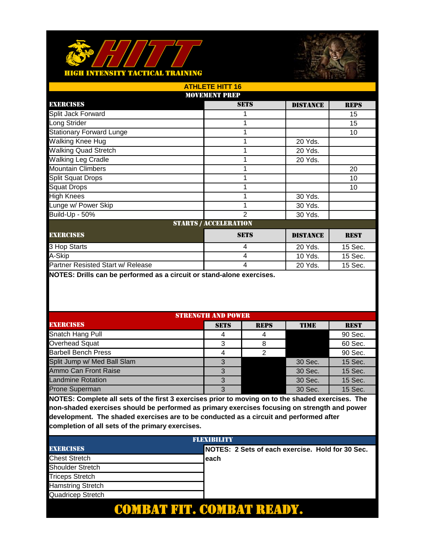



| <b>ATHLETE HITT 16</b>            |                              |                 |             |  |  |  |
|-----------------------------------|------------------------------|-----------------|-------------|--|--|--|
|                                   | <b>MOVEMENT PREP</b>         |                 |             |  |  |  |
| <b>EXERCISES</b>                  | <b>SETS</b>                  | <b>DISTANCE</b> | <b>REPS</b> |  |  |  |
| Split Jack Forward                |                              |                 | 15          |  |  |  |
| Long Strider                      |                              |                 | 15          |  |  |  |
| <b>Stationary Forward Lunge</b>   |                              |                 | 10          |  |  |  |
| Walking Knee Hug                  |                              | 20 Yds.         |             |  |  |  |
| <b>Walking Quad Stretch</b>       |                              | 20 Yds.         |             |  |  |  |
| <b>Walking Leg Cradle</b>         |                              | 20 Yds.         |             |  |  |  |
| <b>Mountain Climbers</b>          |                              |                 | 20          |  |  |  |
| <b>Split Squat Drops</b>          |                              |                 | 10          |  |  |  |
| <b>Squat Drops</b>                |                              |                 | 10          |  |  |  |
| <b>High Knees</b>                 |                              | 30 Yds.         |             |  |  |  |
| Lunge w/ Power Skip               |                              | 30 Yds.         |             |  |  |  |
| Build-Up - 50%                    | 2                            | 30 Yds.         |             |  |  |  |
|                                   | <b>STARTS / ACCELERATION</b> |                 |             |  |  |  |
| <b>EXERCISES</b>                  | <b>SETS</b>                  | <b>DISTANCE</b> | <b>REST</b> |  |  |  |
| 3 Hop Starts                      | 4                            | 20 Yds.         | 15 Sec.     |  |  |  |
| A-Skip                            | $\overline{4}$               | 10 Yds.         | 15 Sec.     |  |  |  |
| Partner Resisted Start w/ Release | 4                            | 20 Yds.         | 15 Sec.     |  |  |  |

| <b>STRENGTH AND POWER</b>   |             |             |             |             |
|-----------------------------|-------------|-------------|-------------|-------------|
| <b>EXERCISES</b>            | <b>SETS</b> | <b>REPS</b> | <b>TIME</b> | <b>REST</b> |
| Snatch Hang Pull            |             |             |             | 90 Sec.     |
| Overhead Squat              | 3           |             |             | 60 Sec.     |
| <b>Barbell Bench Press</b>  |             |             |             | 90 Sec.     |
| Split Jump w/ Med Ball Slam | З           |             | 30 Sec.     | 15 Sec.     |
| Ammo Can Front Raise        | 3           |             | 30 Sec.     | 15 Sec.     |
| <b>Landmine Rotation</b>    | 3           |             | 30 Sec.     | 15 Sec.     |
| <b>Prone Superman</b>       | 3           |             | 30 Sec.     | 15 Sec.     |

| <b>FLEXIBILITY</b>       |  |                                                   |  |
|--------------------------|--|---------------------------------------------------|--|
| <b>EXERCISES</b>         |  | INOTES: 2 Sets of each exercise. Hold for 30 Sec. |  |
| <b>Chest Stretch</b>     |  | each                                              |  |
| <b>Shoulder Stretch</b>  |  |                                                   |  |
| <b>Triceps Stretch</b>   |  |                                                   |  |
| <b>Hamstring Stretch</b> |  |                                                   |  |
| Quadricep Stretch        |  |                                                   |  |
|                          |  |                                                   |  |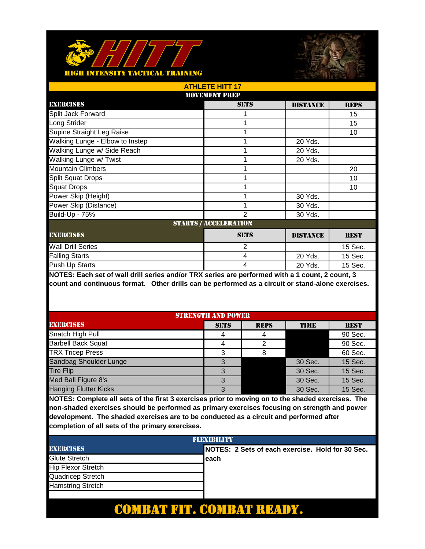



| <b>ATHLETE HITT 17</b>          |                              |                 |             |  |
|---------------------------------|------------------------------|-----------------|-------------|--|
| <b>MOVEMENT PREP</b>            |                              |                 |             |  |
| <b>EXERCISES</b>                | <b>SETS</b>                  | <b>DISTANCE</b> | <b>REPS</b> |  |
| Split Jack Forward              |                              |                 | 15          |  |
| Long Strider                    |                              |                 | 15          |  |
| Supine Straight Leg Raise       |                              |                 | 10          |  |
| Walking Lunge - Elbow to Instep |                              | 20 Yds.         |             |  |
| Walking Lunge w/ Side Reach     |                              | 20 Yds.         |             |  |
| Walking Lunge w/ Twist          |                              | 20 Yds.         |             |  |
| <b>Mountain Climbers</b>        |                              |                 | 20          |  |
| <b>Split Squat Drops</b>        |                              |                 | 10          |  |
| <b>Squat Drops</b>              |                              |                 | 10          |  |
| Power Skip (Height)             |                              | 30 Yds.         |             |  |
| Power Skip (Distance)           |                              | 30 Yds.         |             |  |
| Build-Up - 75%                  | $\mathfrak{p}$               | 30 Yds.         |             |  |
|                                 | <b>STARTS / ACCELERATION</b> |                 |             |  |
| <b>EXERCISES</b>                | <b>SETS</b>                  | <b>DISTANCE</b> | <b>REST</b> |  |
| <b>Wall Drill Series</b>        | $\overline{2}$               |                 | 15 Sec.     |  |
| <b>Falling Starts</b>           | 4                            | 20 Yds.         | 15 Sec.     |  |
| Push Up Starts                  | 4                            | 20 Yds.         | 15 Sec.     |  |

| <b>STRENGTH AND POWER</b>    |             |             |             |             |
|------------------------------|-------------|-------------|-------------|-------------|
| <b>EXERCISES</b>             | <b>SETS</b> | <b>REPS</b> | <b>TIME</b> | <b>REST</b> |
| Snatch High Pull             | 4           |             |             | 90 Sec.     |
| <b>Barbell Back Squat</b>    |             |             |             | 90 Sec.     |
| <b>TRX Tricep Press</b>      | 3           |             |             | 60 Sec.     |
| Sandbag Shoulder Lunge       |             |             | 30 Sec.     | 15 Sec.     |
| <b>Tire Flip</b>             | 3           |             | 30 Sec.     | 15 Sec.     |
| Med Ball Figure 8's          | 3           |             | 30 Sec.     | 15 Sec.     |
| <b>Hanging Flutter Kicks</b> | 3           |             | 30 Sec.     | 15 Sec.     |

| FLEXIBILITY               |                                                   |  |
|---------------------------|---------------------------------------------------|--|
| <b>EXERCISES</b>          | INOTES: 2 Sets of each exercise. Hold for 30 Sec. |  |
| <b>Glute Stretch</b>      | leach                                             |  |
| <b>Hip Flexor Stretch</b> |                                                   |  |
| Quadricep Stretch         |                                                   |  |
| <b>Hamstring Stretch</b>  |                                                   |  |
|                           |                                                   |  |
|                           |                                                   |  |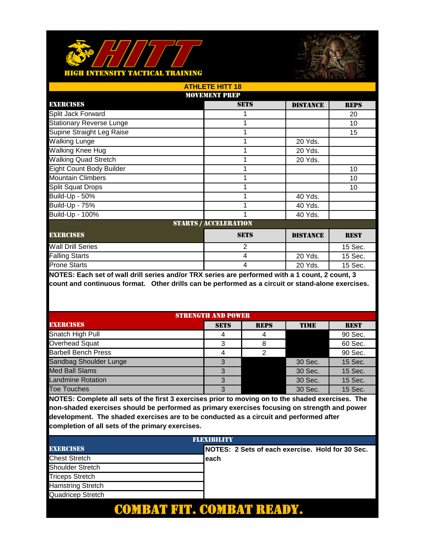



| <b>ATHLETE HITT 18</b>          |                              |                 |             |  |
|---------------------------------|------------------------------|-----------------|-------------|--|
| <b>MOVEMENT PREP</b>            |                              |                 |             |  |
| <b>EXERCISES</b>                | <b>SETS</b>                  | <b>DISTANCE</b> | <b>REPS</b> |  |
| Split Jack Forward              |                              |                 | 20          |  |
| <b>Stationary Reverse Lunge</b> |                              |                 | 10          |  |
| Supine Straight Leg Raise       |                              |                 | 15          |  |
| <b>Walking Lunge</b>            |                              | 20 Yds.         |             |  |
| Walking Knee Hug                |                              | 20 Yds.         |             |  |
| <b>Walking Quad Stretch</b>     |                              | 20 Yds.         |             |  |
| <b>Eight Count Body Builder</b> |                              |                 | 10          |  |
| <b>Mountain Climbers</b>        |                              |                 | 10          |  |
| <b>Split Squat Drops</b>        |                              |                 | 10          |  |
| Build-Up - 50%                  |                              | 40 Yds.         |             |  |
| <b>Build-Up - 75%</b>           |                              | 40 Yds.         |             |  |
| Build-Up - 100%                 |                              | 40 Yds.         |             |  |
|                                 | <b>STARTS / ACCELERATION</b> |                 |             |  |
| <b>EXERCISES</b>                | <b>SETS</b>                  | <b>DISTANCE</b> | <b>REST</b> |  |
| <b>Wall Drill Series</b>        | $\overline{2}$               |                 | 15 Sec.     |  |
| <b>Falling Starts</b>           | 4                            | 20 Yds.         | 15 Sec.     |  |
| <b>Prone Starts</b>             | 4                            | 20 Yds.         | 15 Sec.     |  |

| <b>STRENGTH AND POWER</b>  |             |             |             |             |
|----------------------------|-------------|-------------|-------------|-------------|
| <b>EXERCISES</b>           | <b>SETS</b> | <b>REPS</b> | <b>TIME</b> | <b>REST</b> |
| Snatch High Pull           | 4           |             |             | 90 Sec.     |
| Overhead Squat             | 3           |             |             | 60 Sec.     |
| <b>Barbell Bench Press</b> |             |             |             | 90 Sec.     |
| Sandbag Shoulder Lunge     |             |             | 30 Sec.     | 15 Sec.     |
| <b>Med Ball Slams</b>      |             |             | 30 Sec.     | 15 Sec.     |
| <b>Landmine Rotation</b>   | 3           |             | 30 Sec.     | 15 Sec.     |
| <b>Toe Touches</b>         | 3           |             | 30 Sec.     | 15 Sec.     |

| <b>FLEXIBILITY</b>       |  |                                                   |  |  |
|--------------------------|--|---------------------------------------------------|--|--|
| <b>EXERCISES</b>         |  | INOTES: 2 Sets of each exercise. Hold for 30 Sec. |  |  |
| <b>Chest Stretch</b>     |  | each                                              |  |  |
| <b>Shoulder Stretch</b>  |  |                                                   |  |  |
| <b>Triceps Stretch</b>   |  |                                                   |  |  |
| <b>Hamstring Stretch</b> |  |                                                   |  |  |
| Quadricep Stretch        |  |                                                   |  |  |
|                          |  |                                                   |  |  |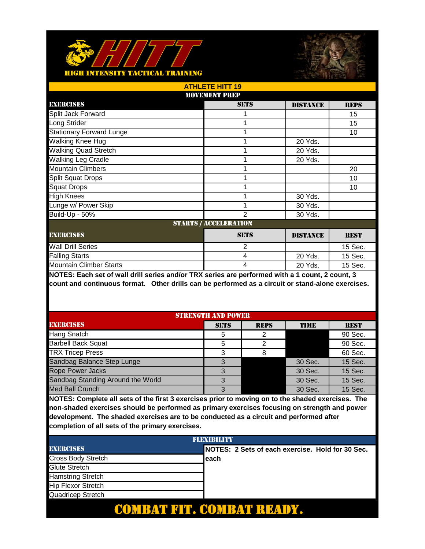



| <b>ATHLETE HITT 19</b>          |                              |                 |             |  |
|---------------------------------|------------------------------|-----------------|-------------|--|
| <b>MOVEMENT PREP</b>            |                              |                 |             |  |
| <b>EXERCISES</b>                | <b>SETS</b>                  | <b>DISTANCE</b> | <b>REPS</b> |  |
| Split Jack Forward              |                              |                 | 15          |  |
| Long Strider                    |                              |                 | 15          |  |
| <b>Stationary Forward Lunge</b> |                              |                 | 10          |  |
| Walking Knee Hug                |                              | 20 Yds.         |             |  |
| <b>Walking Quad Stretch</b>     |                              | 20 Yds.         |             |  |
| Walking Leg Cradle              |                              | 20 Yds.         |             |  |
| <b>Mountain Climbers</b>        |                              |                 | 20          |  |
| <b>Split Squat Drops</b>        |                              |                 | 10          |  |
| <b>Squat Drops</b>              |                              |                 | 10          |  |
| <b>High Knees</b>               |                              | 30 Yds.         |             |  |
| Lunge w/ Power Skip             |                              | 30 Yds.         |             |  |
| Build-Up - 50%                  | $\mathfrak{p}$               | 30 Yds.         |             |  |
|                                 | <b>STARTS / ACCELERATION</b> |                 |             |  |
| <b>EXERCISES</b>                | <b>SETS</b>                  | <b>DISTANCE</b> | <b>REST</b> |  |
| <b>Wall Drill Series</b>        | $\overline{2}$               |                 | 15 Sec.     |  |
| <b>Falling Starts</b>           | 4                            | 20 Yds.         | 15 Sec.     |  |
| <b>Mountain Climber Starts</b>  | 4                            | 20 Yds.         | 15 Sec.     |  |

| <b>STRENGTH AND POWER</b>         |             |             |             |             |
|-----------------------------------|-------------|-------------|-------------|-------------|
| <b>EXERCISES</b>                  | <b>SETS</b> | <b>REPS</b> | <b>TIME</b> | <b>REST</b> |
| Hang Snatch                       | 5           | っ           |             | 90 Sec.     |
| <b>Barbell Back Squat</b>         | 5           | っ           |             | 90 Sec.     |
| <b>TRX Tricep Press</b>           | 3           |             |             | 60 Sec.     |
| Sandbag Balance Step Lunge        |             |             | 30 Sec.     | 15 Sec.     |
| <b>Rope Power Jacks</b>           |             |             | 30 Sec.     | 15 Sec.     |
| Sandbag Standing Around the World | 3           |             | 30 Sec.     | 15 Sec.     |
| <b>Med Ball Crunch</b>            | 3           |             | 30 Sec.     | 15 Sec.     |

| FLEXIBILITY               |                                                   |  |  |
|---------------------------|---------------------------------------------------|--|--|
| <b>EXERCISES</b>          | INOTES: 2 Sets of each exercise. Hold for 30 Sec. |  |  |
| Cross Body Stretch        | leach                                             |  |  |
| Glute Stretch             |                                                   |  |  |
| <b>Hamstring Stretch</b>  |                                                   |  |  |
| <b>Hip Flexor Stretch</b> |                                                   |  |  |
| Quadricep Stretch         |                                                   |  |  |
|                           |                                                   |  |  |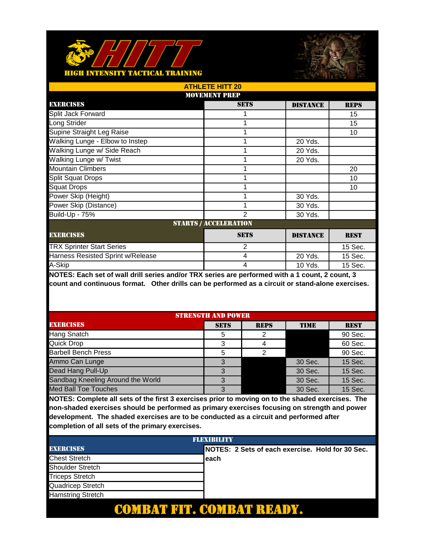



|                                   | <b>ATHLETE HITT 20</b>       |                 |             |  |
|-----------------------------------|------------------------------|-----------------|-------------|--|
| <b>MOVEMENT PREP</b>              |                              |                 |             |  |
| <b>EXERCISES</b>                  | <b>SETS</b>                  | <b>DISTANCE</b> | <b>REPS</b> |  |
| Split Jack Forward                |                              |                 | 15          |  |
| Long Strider                      |                              |                 | 15          |  |
| Supine Straight Leg Raise         |                              |                 | 10          |  |
| Walking Lunge - Elbow to Instep   |                              | 20 Yds.         |             |  |
| Walking Lunge w/ Side Reach       |                              | 20 Yds.         |             |  |
| Walking Lunge w/ Twist            |                              | 20 Yds.         |             |  |
| <b>Mountain Climbers</b>          |                              |                 | 20          |  |
| <b>Split Squat Drops</b>          |                              |                 | 10          |  |
| <b>Squat Drops</b>                |                              |                 | 10          |  |
| Power Skip (Height)               |                              | 30 Yds.         |             |  |
| Power Skip (Distance)             |                              | 30 Yds.         |             |  |
| Build-Up - 75%                    | $\mathfrak{p}$               | 30 Yds.         |             |  |
|                                   | <b>STARTS / ACCELERATION</b> |                 |             |  |
| <b>EXERCISES</b>                  | <b>SETS</b>                  | <b>DISTANCE</b> | <b>REST</b> |  |
| <b>TRX Sprinter Start Series</b>  | $\overline{2}$               |                 | 15 Sec.     |  |
| Harness Resisted Sprint w/Release | 4                            | 20 Yds.         | 15 Sec.     |  |
| A-Skip                            | 4                            | 10 Yds.         | 15 Sec.     |  |

| <b>STRENGTH AND POWER</b>         |             |             |             |             |
|-----------------------------------|-------------|-------------|-------------|-------------|
| <b>EXERCISES</b>                  | <b>SETS</b> | <b>REPS</b> | <b>TIME</b> | <b>REST</b> |
| <b>Hang Snatch</b>                | 5           |             |             | 90 Sec.     |
| Quick Drop                        | 3           |             |             | 60 Sec.     |
| <b>Barbell Bench Press</b>        | 5           |             |             | 90 Sec.     |
| Ammo Can Lunge                    |             |             | 30 Sec.     | 15 Sec.     |
| Dead Hang Pull-Up                 | 3           |             | 30 Sec.     | 15 Sec.     |
| Sandbag Kneeling Around the World |             |             | 30 Sec.     | 15 Sec.     |
| <b>Med Ball Toe Touches</b>       | 3           |             | 30 Sec.     | 15 Sec.     |

| <b>FLEXIBILITY</b>       |  |                                                   |  |  |
|--------------------------|--|---------------------------------------------------|--|--|
| <b>EXERCISES</b>         |  | INOTES: 2 Sets of each exercise. Hold for 30 Sec. |  |  |
| <b>Chest Stretch</b>     |  | each                                              |  |  |
| <b>Shoulder Stretch</b>  |  |                                                   |  |  |
| <b>Triceps Stretch</b>   |  |                                                   |  |  |
| Quadricep Stretch        |  |                                                   |  |  |
| <b>Hamstring Stretch</b> |  |                                                   |  |  |
|                          |  |                                                   |  |  |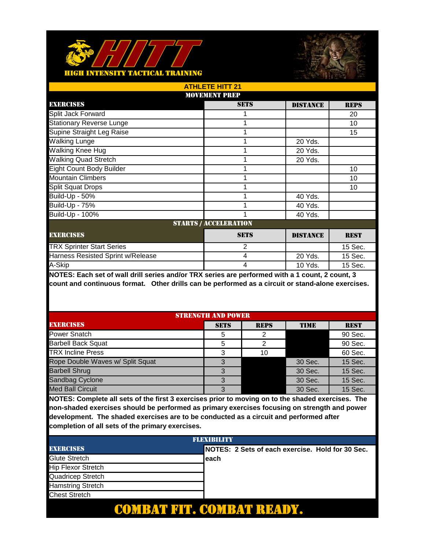



| <b>ATHLETE HITT 21</b>            |                              |                 |             |  |
|-----------------------------------|------------------------------|-----------------|-------------|--|
| <b>MOVEMENT PREP</b>              |                              |                 |             |  |
| <b>EXERCISES</b>                  | <b>SETS</b>                  | <b>DISTANCE</b> | <b>REPS</b> |  |
| Split Jack Forward                |                              |                 | 20          |  |
| <b>Stationary Reverse Lunge</b>   |                              |                 | 10          |  |
| Supine Straight Leg Raise         |                              |                 | 15          |  |
| Walking Lunge                     |                              | 20 Yds.         |             |  |
| Walking Knee Hug                  |                              | 20 Yds.         |             |  |
| <b>Walking Quad Stretch</b>       |                              | 20 Yds.         |             |  |
| <b>Eight Count Body Builder</b>   |                              |                 | 10          |  |
| <b>Mountain Climbers</b>          |                              |                 | 10          |  |
| <b>Split Squat Drops</b>          |                              |                 | 10          |  |
| Build-Up - 50%                    |                              | 40 Yds.         |             |  |
| <b>Build-Up - 75%</b>             |                              | 40 Yds.         |             |  |
| Build-Up - 100%                   |                              | 40 Yds.         |             |  |
|                                   | <b>STARTS / ACCELERATION</b> |                 |             |  |
| <b>EXERCISES</b>                  | <b>SETS</b>                  | <b>DISTANCE</b> | <b>REST</b> |  |
| <b>TRX Sprinter Start Series</b>  | 2                            |                 | 15 Sec.     |  |
| Harness Resisted Sprint w/Release | 4                            | 20 Yds.         | 15 Sec.     |  |
| A-Skip                            | 4                            | 10 Yds.         | 15 Sec.     |  |

| <b>STRENGTH AND POWER</b>        |             |             |             |             |
|----------------------------------|-------------|-------------|-------------|-------------|
| <b>EXERCISES</b>                 | <b>SETS</b> | <b>REPS</b> | <b>TIME</b> | <b>REST</b> |
| Power Snatch                     | 5           | っ           |             | 90 Sec.     |
| <b>Barbell Back Squat</b>        | 5           | っ           |             | 90 Sec.     |
| <b>TRX Incline Press</b>         | 3           | 10          |             | 60 Sec.     |
| Rope Double Waves w/ Split Squat |             |             | 30 Sec.     | 15 Sec.     |
| <b>Barbell Shrug</b>             | 3           |             | 30 Sec.     | 15 Sec.     |
| Sandbag Cyclone                  | 3           |             | 30 Sec.     | 15 Sec.     |
| <b>Med Ball Circuit</b>          | 3           |             | 30 Sec.     | 15 Sec.     |

| <b>FLEXIBILITY</b>        |                                                   |  |
|---------------------------|---------------------------------------------------|--|
| <b>EXERCISES</b>          | INOTES: 2 Sets of each exercise. Hold for 30 Sec. |  |
| Glute Stretch             | each                                              |  |
| <b>Hip Flexor Stretch</b> |                                                   |  |
| Quadricep Stretch         |                                                   |  |
| <b>Hamstring Stretch</b>  |                                                   |  |
| <b>Chest Stretch</b>      |                                                   |  |
|                           |                                                   |  |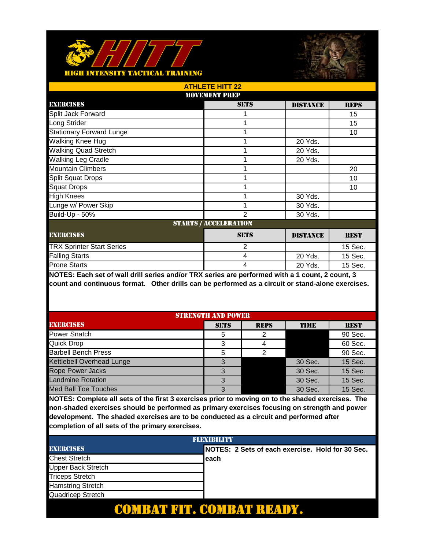



|                                  | <b>ATHLETE HITT 22</b>       |                 |             |  |  |
|----------------------------------|------------------------------|-----------------|-------------|--|--|
| <b>MOVEMENT PREP</b>             |                              |                 |             |  |  |
| <b>EXERCISES</b>                 | <b>SETS</b>                  | <b>DISTANCE</b> | <b>REPS</b> |  |  |
| Split Jack Forward               |                              |                 | 15          |  |  |
| Long Strider                     |                              |                 | 15          |  |  |
| <b>Stationary Forward Lunge</b>  |                              |                 | 10          |  |  |
| Walking Knee Hug                 |                              | 20 Yds.         |             |  |  |
| <b>Walking Quad Stretch</b>      |                              | 20 Yds.         |             |  |  |
| Walking Leg Cradle               |                              | 20 Yds.         |             |  |  |
| <b>Mountain Climbers</b>         |                              |                 | 20          |  |  |
| <b>Split Squat Drops</b>         |                              |                 | 10          |  |  |
| <b>Squat Drops</b>               |                              |                 | 10          |  |  |
| <b>High Knees</b>                |                              | 30 Yds.         |             |  |  |
| Lunge w/ Power Skip              |                              | 30 Yds.         |             |  |  |
| Build-Up - 50%                   | $\mathfrak{p}$               | 30 Yds.         |             |  |  |
|                                  | <b>STARTS / ACCELERATION</b> |                 |             |  |  |
| <b>EXERCISES</b>                 | <b>SETS</b>                  | <b>DISTANCE</b> | <b>REST</b> |  |  |
| <b>TRX Sprinter Start Series</b> | $\overline{2}$               |                 | 15 Sec.     |  |  |
| <b>Falling Starts</b>            | 4                            | 20 Yds.         | 15 Sec.     |  |  |
| <b>Prone Starts</b>              | 4                            | 20 Yds.         | 15 Sec.     |  |  |

| <b>STRENGTH AND POWER</b>   |             |             |             |             |
|-----------------------------|-------------|-------------|-------------|-------------|
| <b>EXERCISES</b>            | <b>SETS</b> | <b>REPS</b> | <b>TIME</b> | <b>REST</b> |
| <b>Power Snatch</b>         | 5           |             |             | 90 Sec.     |
| <b>Quick Drop</b>           | 3           |             |             | 60 Sec.     |
| <b>Barbell Bench Press</b>  | 5           |             |             | 90 Sec.     |
| Kettlebell Overhead Lunge   | 3           |             | 30 Sec.     | 15 Sec.     |
| <b>Rope Power Jacks</b>     | 3           |             | 30 Sec.     | 15 Sec.     |
| <b>Landmine Rotation</b>    | 3           |             | 30 Sec.     | 15 Sec.     |
| <b>Med Ball Toe Touches</b> | 3           |             | 30 Sec.     | 15 Sec.     |

| FLEXIBILITY               |                                                  |  |  |
|---------------------------|--------------------------------------------------|--|--|
| <b>EXERCISES</b>          | NOTES: 2 Sets of each exercise. Hold for 30 Sec. |  |  |
| <b>Chest Stretch</b>      | each                                             |  |  |
| <b>Upper Back Stretch</b> |                                                  |  |  |
| <b>Triceps Stretch</b>    |                                                  |  |  |
| <b>Hamstring Stretch</b>  |                                                  |  |  |
| Quadricep Stretch         |                                                  |  |  |
|                           |                                                  |  |  |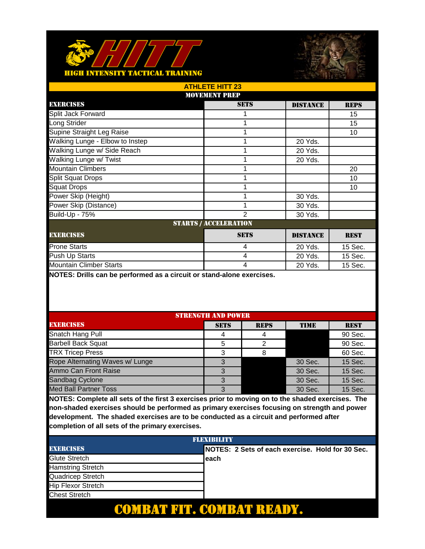



| <b>ATHLETE HITT 23</b>          |                |                 |             |  |  |
|---------------------------------|----------------|-----------------|-------------|--|--|
| <b>MOVEMENT PREP</b>            |                |                 |             |  |  |
| <b>EXERCISES</b>                | <b>SETS</b>    | <b>DISTANCE</b> | <b>REPS</b> |  |  |
| Split Jack Forward              |                |                 | 15          |  |  |
| Long Strider                    |                |                 | 15          |  |  |
| Supine Straight Leg Raise       |                |                 | 10          |  |  |
| Walking Lunge - Elbow to Instep | 4              | 20 Yds.         |             |  |  |
| Walking Lunge w/ Side Reach     |                | 20 Yds.         |             |  |  |
| Walking Lunge w/ Twist          |                | 20 Yds.         |             |  |  |
| <b>Mountain Climbers</b>        |                |                 | 20          |  |  |
| <b>Split Squat Drops</b>        |                |                 | 10          |  |  |
| <b>Squat Drops</b>              |                |                 | 10          |  |  |
| Power Skip (Height)             |                | 30 Yds.         |             |  |  |
| Power Skip (Distance)           |                | 30 Yds.         |             |  |  |
| <b>Build-Up - 75%</b>           | $\mathfrak{p}$ | 30 Yds.         |             |  |  |
| <b>STARTS / ACCELERATION</b>    |                |                 |             |  |  |
| <b>EXERCISES</b>                | <b>SETS</b>    | <b>DISTANCE</b> | <b>REST</b> |  |  |
| <b>Prone Starts</b>             | $\overline{4}$ | 20 Yds.         | 15 Sec.     |  |  |
| Push Up Starts                  | $\overline{4}$ | 20 Yds.         | 15 Sec.     |  |  |
| <b>Mountain Climber Starts</b>  | 4              | 20 Yds.         | 15 Sec.     |  |  |

| <b>STRENGTH AND POWER</b>       |             |             |             |             |
|---------------------------------|-------------|-------------|-------------|-------------|
| <b>EXERCISES</b>                | <b>SETS</b> | <b>REPS</b> | <b>TIME</b> | <b>REST</b> |
| Snatch Hang Pull                |             |             |             | 90 Sec.     |
| <b>Barbell Back Squat</b>       | 5           | ⌒           |             | 90 Sec.     |
| <b>TRX Tricep Press</b>         |             |             |             | 60 Sec.     |
| Rope Alternating Waves w/ Lunge |             |             | 30 Sec.     | 15 Sec.     |
| Ammo Can Front Raise            | 3           |             | 30 Sec.     | 15 Sec.     |
| Sandbag Cyclone                 | 3           |             | 30 Sec.     | 15 Sec.     |
| <b>Med Ball Partner Toss</b>    | 3           |             | 30 Sec.     | 15 Sec.     |

| <b>FLEXIBILITY</b>        |                                                   |  |
|---------------------------|---------------------------------------------------|--|
| <b>EXERCISES</b>          | INOTES: 2 Sets of each exercise. Hold for 30 Sec. |  |
| Glute Stretch             | each                                              |  |
| <b>Hamstring Stretch</b>  |                                                   |  |
| Quadricep Stretch         |                                                   |  |
| <b>Hip Flexor Stretch</b> |                                                   |  |
| <b>Chest Stretch</b>      |                                                   |  |
|                           |                                                   |  |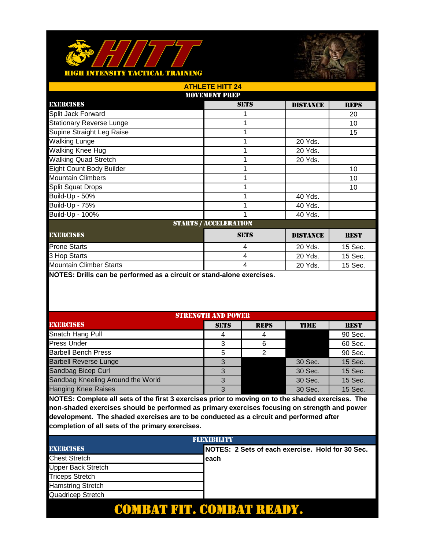



| <b>ATHLETE HITT 24</b>                                            |                 |             |  |  |  |
|-------------------------------------------------------------------|-----------------|-------------|--|--|--|
| <b>MOVEMENT PREP</b>                                              |                 |             |  |  |  |
| <b>SETS</b>                                                       | <b>DISTANCE</b> | <b>REPS</b> |  |  |  |
|                                                                   |                 | 20          |  |  |  |
|                                                                   |                 | 10          |  |  |  |
|                                                                   |                 | 15          |  |  |  |
|                                                                   | 20 Yds.         |             |  |  |  |
|                                                                   | 20 Yds.         |             |  |  |  |
|                                                                   | 20 Yds.         |             |  |  |  |
|                                                                   |                 | 10          |  |  |  |
|                                                                   |                 | 10          |  |  |  |
|                                                                   |                 | 10          |  |  |  |
|                                                                   | 40 Yds.         |             |  |  |  |
|                                                                   | 40 Yds.         |             |  |  |  |
|                                                                   | 40 Yds.         |             |  |  |  |
| <b>STARTS / ACCELERATION</b>                                      |                 |             |  |  |  |
| <b>SETS</b><br><b>EXERCISES</b><br><b>DISTANCE</b><br><b>REST</b> |                 |             |  |  |  |
| $\overline{4}$                                                    | 20 Yds.         | 15 Sec.     |  |  |  |
| 4                                                                 | 20 Yds.         | 15 Sec.     |  |  |  |
| 4                                                                 | 20 Yds.         | 15 Sec.     |  |  |  |
|                                                                   |                 |             |  |  |  |

| <b>STRENGTH AND POWER</b>         |             |             |         |             |
|-----------------------------------|-------------|-------------|---------|-------------|
| <b>EXERCISES</b>                  | <b>SETS</b> | <b>REPS</b> | TIME    | <b>REST</b> |
| Snatch Hang Pull                  |             |             |         | 90 Sec.     |
| <b>Press Under</b>                | 3           |             |         | 60 Sec.     |
| <b>Barbell Bench Press</b>        |             |             |         | 90 Sec.     |
| <b>Barbell Reverse Lunge</b>      | ર           |             | 30 Sec. | 15 Sec.     |
| Sandbag Bicep Curl                | 3           |             | 30 Sec. | 15 Sec.     |
| Sandbag Kneeling Around the World | 3           |             | 30 Sec. | 15 Sec.     |
| <b>Hanging Knee Raises</b>        | 3           |             | 30 Sec. | 15 Sec.     |

| <b>FLEXIBILITY</b>        |                                                   |  |
|---------------------------|---------------------------------------------------|--|
| <b>EXERCISES</b>          | INOTES: 2 Sets of each exercise. Hold for 30 Sec. |  |
| <b>Chest Stretch</b>      | each                                              |  |
| <b>Upper Back Stretch</b> |                                                   |  |
| <b>Triceps Stretch</b>    |                                                   |  |
| <b>Hamstring Stretch</b>  |                                                   |  |
| Quadricep Stretch         |                                                   |  |
|                           |                                                   |  |